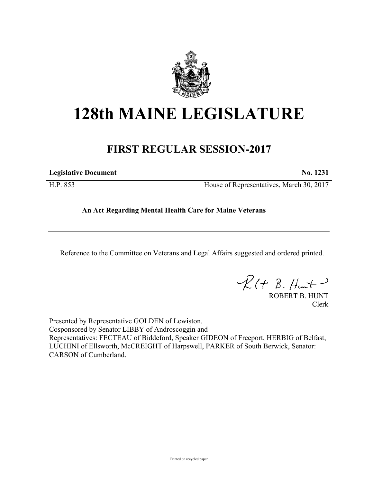

## **128th MAINE LEGISLATURE**

## **FIRST REGULAR SESSION-2017**

**Legislative Document No. 1231**

H.P. 853 House of Representatives, March 30, 2017

## **An Act Regarding Mental Health Care for Maine Veterans**

Reference to the Committee on Veterans and Legal Affairs suggested and ordered printed.

 $R(H B. H<sub>un</sub>+)$ 

ROBERT B. HUNT Clerk

Presented by Representative GOLDEN of Lewiston. Cosponsored by Senator LIBBY of Androscoggin and Representatives: FECTEAU of Biddeford, Speaker GIDEON of Freeport, HERBIG of Belfast, LUCHINI of Ellsworth, McCREIGHT of Harpswell, PARKER of South Berwick, Senator: CARSON of Cumberland.